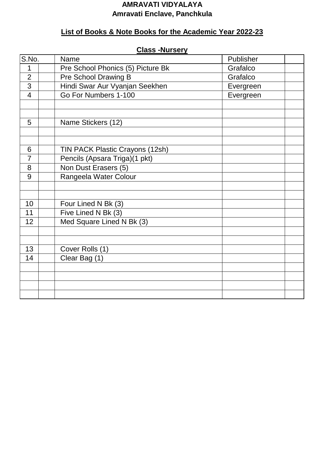#### **AMRAVATI VIDYALAYA Amravati Enclave, Panchkula**

## **List of Books & Note Books for the Academic Year 2022-23**

| S.No.          | Name                              | Publisher |  |
|----------------|-----------------------------------|-----------|--|
| 1              | Pre School Phonics (5) Picture Bk | Grafalco  |  |
| $\overline{2}$ | Pre School Drawing B              | Grafalco  |  |
| 3              | Hindi Swar Aur Vyanjan Seekhen    | Evergreen |  |
| $\overline{4}$ | Go For Numbers 1-100              | Evergreen |  |
|                |                                   |           |  |
|                |                                   |           |  |
| 5              | Name Stickers (12)                |           |  |
|                |                                   |           |  |
|                |                                   |           |  |
| 6              | TIN PACK Plastic Crayons (12sh)   |           |  |
| $\overline{7}$ | Pencils (Apsara Triga)(1 pkt)     |           |  |
| 8              | Non Dust Erasers (5)              |           |  |
| 9              | Rangeela Water Colour             |           |  |
|                |                                   |           |  |
|                |                                   |           |  |
| 10             | Four Lined N Bk (3)               |           |  |
| 11             | Five Lined N Bk (3)               |           |  |
| 12             | Med Square Lined N Bk (3)         |           |  |
|                |                                   |           |  |
|                |                                   |           |  |
| 13             | Cover Rolls (1)                   |           |  |
| 14             | Clear Bag (1)                     |           |  |
|                |                                   |           |  |
|                |                                   |           |  |
|                |                                   |           |  |
|                |                                   |           |  |

#### **Class -Nursery**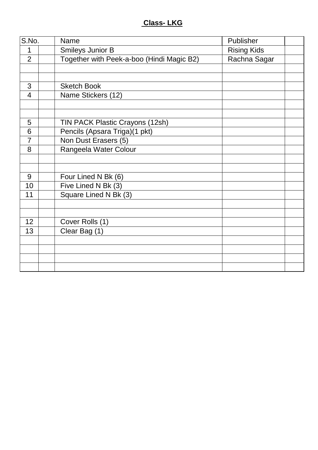## **Class- LKG**

| S.No.          | Name |                                           | Publisher          |  |
|----------------|------|-------------------------------------------|--------------------|--|
| 1              |      | Smileys Junior B                          | <b>Rising Kids</b> |  |
| $\overline{2}$ |      | Together with Peek-a-boo (Hindi Magic B2) | Rachna Sagar       |  |
|                |      |                                           |                    |  |
|                |      |                                           |                    |  |
| 3              |      | <b>Sketch Book</b>                        |                    |  |
| $\overline{4}$ |      | Name Stickers (12)                        |                    |  |
|                |      |                                           |                    |  |
|                |      |                                           |                    |  |
| 5              |      | TIN PACK Plastic Crayons (12sh)           |                    |  |
| 6              |      | Pencils (Apsara Triga)(1 pkt)             |                    |  |
| $\overline{7}$ |      | Non Dust Erasers (5)                      |                    |  |
| 8              |      | Rangeela Water Colour                     |                    |  |
|                |      |                                           |                    |  |
|                |      |                                           |                    |  |
| 9              |      | Four Lined N Bk (6)                       |                    |  |
| 10             |      | Five Lined N Bk (3)                       |                    |  |
| 11             |      | Square Lined N Bk (3)                     |                    |  |
|                |      |                                           |                    |  |
|                |      |                                           |                    |  |
| 12             |      | Cover Rolls (1)                           |                    |  |
| 13             |      | Clear Bag (1)                             |                    |  |
|                |      |                                           |                    |  |
|                |      |                                           |                    |  |
|                |      |                                           |                    |  |
|                |      |                                           |                    |  |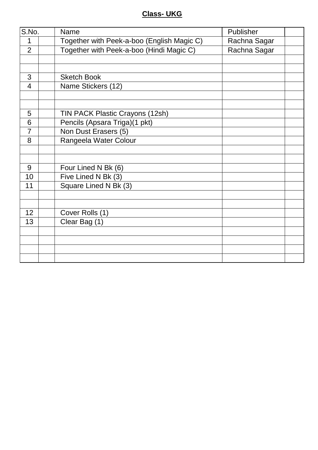### **Class- UKG**

| S.No.          | Name                                       | Publisher    |  |
|----------------|--------------------------------------------|--------------|--|
| 1              | Together with Peek-a-boo (English Magic C) | Rachna Sagar |  |
| $\overline{2}$ | Together with Peek-a-boo (Hindi Magic C)   | Rachna Sagar |  |
|                |                                            |              |  |
|                |                                            |              |  |
| 3              | <b>Sketch Book</b>                         |              |  |
| $\overline{4}$ | Name Stickers (12)                         |              |  |
|                |                                            |              |  |
|                |                                            |              |  |
| 5              | TIN PACK Plastic Crayons (12sh)            |              |  |
| $\overline{6}$ | Pencils (Apsara Triga)(1 pkt)              |              |  |
| $\overline{7}$ | Non Dust Erasers (5)                       |              |  |
| 8              | Rangeela Water Colour                      |              |  |
|                |                                            |              |  |
|                |                                            |              |  |
| 9              | Four Lined N Bk (6)                        |              |  |
| 10             | Five Lined N Bk (3)                        |              |  |
| 11             | Square Lined N Bk (3)                      |              |  |
|                |                                            |              |  |
|                |                                            |              |  |
| 12             | Cover Rolls (1)                            |              |  |
| 13             | Clear Bag (1)                              |              |  |
|                |                                            |              |  |
|                |                                            |              |  |
|                |                                            |              |  |
|                |                                            |              |  |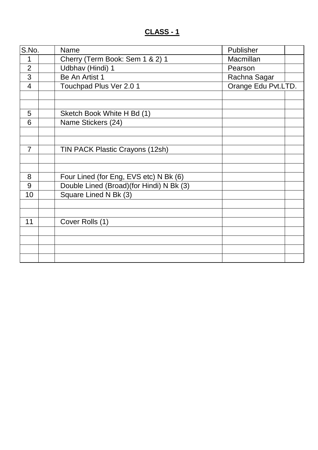## **CLASS - 1**

| S.No.          | <b>Name</b>                              | Publisher           |  |
|----------------|------------------------------------------|---------------------|--|
| 1              | Cherry (Term Book: Sem 1 & 2) 1          | Macmillan           |  |
| $\overline{2}$ | Udbhav (Hindi) 1                         | Pearson             |  |
| 3              | Be An Artist 1                           | Rachna Sagar        |  |
| $\overline{4}$ | Touchpad Plus Ver 2.0 1                  | Orange Edu Pvt.LTD. |  |
|                |                                          |                     |  |
|                |                                          |                     |  |
| 5              | Sketch Book White H Bd (1)               |                     |  |
| 6              | Name Stickers (24)                       |                     |  |
|                |                                          |                     |  |
|                |                                          |                     |  |
| $\overline{7}$ | TIN PACK Plastic Crayons (12sh)          |                     |  |
|                |                                          |                     |  |
|                |                                          |                     |  |
| 8              | Four Lined (for Eng, EVS etc) N Bk (6)   |                     |  |
| 9              | Double Lined (Broad)(for Hindi) N Bk (3) |                     |  |
| 10             | Square Lined N Bk (3)                    |                     |  |
|                |                                          |                     |  |
|                |                                          |                     |  |
| 11             | Cover Rolls (1)                          |                     |  |
|                |                                          |                     |  |
|                |                                          |                     |  |
|                |                                          |                     |  |
|                |                                          |                     |  |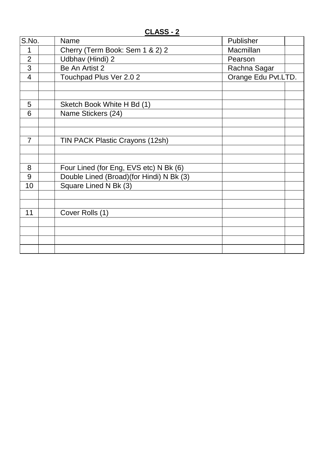**CLASS - 2**

| S.No.          | Name                                     | Publisher           |  |
|----------------|------------------------------------------|---------------------|--|
| $\mathbf 1$    | Cherry (Term Book: Sem 1 & 2) 2          | Macmillan           |  |
| $\overline{2}$ | Udbhav (Hindi) 2                         | Pearson             |  |
| 3              | Be An Artist 2                           | Rachna Sagar        |  |
| $\overline{4}$ | Touchpad Plus Ver 2.0 2                  | Orange Edu Pvt.LTD. |  |
|                |                                          |                     |  |
|                |                                          |                     |  |
| 5              | Sketch Book White H Bd (1)               |                     |  |
| 6              | Name Stickers (24)                       |                     |  |
|                |                                          |                     |  |
|                |                                          |                     |  |
| $\overline{7}$ | TIN PACK Plastic Crayons (12sh)          |                     |  |
|                |                                          |                     |  |
|                |                                          |                     |  |
| 8              | Four Lined (for Eng, EVS etc) N Bk (6)   |                     |  |
| 9              | Double Lined (Broad)(for Hindi) N Bk (3) |                     |  |
| 10             | Square Lined N Bk (3)                    |                     |  |
|                |                                          |                     |  |
|                |                                          |                     |  |
| 11             | Cover Rolls (1)                          |                     |  |
|                |                                          |                     |  |
|                |                                          |                     |  |
|                |                                          |                     |  |
|                |                                          |                     |  |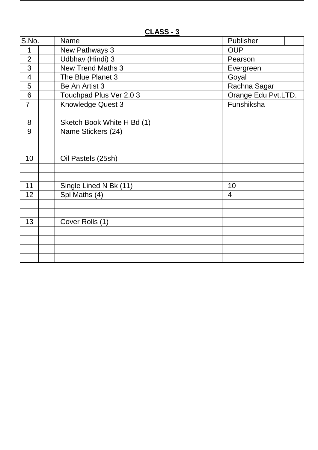**CLASS - 3**

| S.No.          | <b>Name</b>                | Publisher           |  |
|----------------|----------------------------|---------------------|--|
| 1              | New Pathways 3             | <b>OUP</b>          |  |
| $\overline{2}$ | Udbhav (Hindi) 3           | Pearson             |  |
| 3              | <b>New Trend Maths 3</b>   | Evergreen           |  |
| $\overline{4}$ | The Blue Planet 3          | Goyal               |  |
| 5              | Be An Artist 3             | Rachna Sagar        |  |
| 6              | Touchpad Plus Ver 2.0 3    | Orange Edu Pvt.LTD. |  |
| $\overline{7}$ | Knowledge Quest 3          | Funshiksha          |  |
|                |                            |                     |  |
| 8              | Sketch Book White H Bd (1) |                     |  |
| 9              | Name Stickers (24)         |                     |  |
|                |                            |                     |  |
|                |                            |                     |  |
| 10             | Oil Pastels (25sh)         |                     |  |
|                |                            |                     |  |
|                |                            |                     |  |
| 11             | Single Lined N Bk (11)     | 10                  |  |
| 12             | Spl Maths (4)              | $\overline{4}$      |  |
|                |                            |                     |  |
|                |                            |                     |  |
| 13             | Cover Rolls (1)            |                     |  |
|                |                            |                     |  |
|                |                            |                     |  |
|                |                            |                     |  |
|                |                            |                     |  |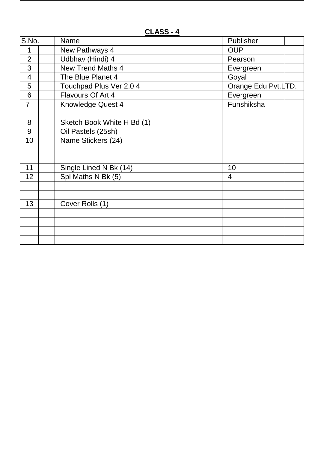**CLASS - 4**

| S.No.          | <b>Name</b>                | Publisher           |
|----------------|----------------------------|---------------------|
| 1              | New Pathways 4             | <b>OUP</b>          |
| $\overline{2}$ | Udbhav (Hindi) 4           | Pearson             |
| 3              | <b>New Trend Maths 4</b>   | Evergreen           |
| $\overline{4}$ | The Blue Planet 4          | Goyal               |
| 5              | Touchpad Plus Ver 2.0 4    | Orange Edu Pvt.LTD. |
| 6              | Flavours Of Art 4          | Evergreen           |
| $\overline{7}$ | <b>Knowledge Quest 4</b>   | Funshiksha          |
|                |                            |                     |
| 8              | Sketch Book White H Bd (1) |                     |
| 9              | Oil Pastels (25sh)         |                     |
| 10             | Name Stickers (24)         |                     |
|                |                            |                     |
|                |                            |                     |
| 11             | Single Lined N Bk (14)     | 10                  |
| 12             | Spl Maths N Bk (5)         | 4                   |
|                |                            |                     |
|                |                            |                     |
| 13             | Cover Rolls (1)            |                     |
|                |                            |                     |
|                |                            |                     |
|                |                            |                     |
|                |                            |                     |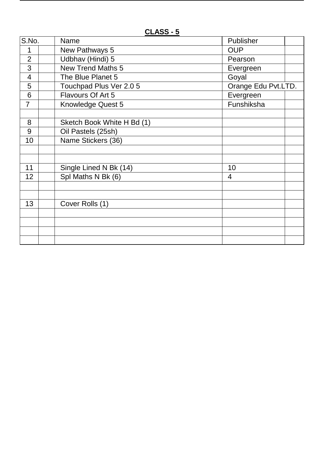**CLASS - 5**

| S.No.          | <b>Name</b>                | Publisher           |  |
|----------------|----------------------------|---------------------|--|
| 1              | New Pathways 5             | <b>OUP</b>          |  |
| $\overline{2}$ | Udbhav (Hindi) 5           | Pearson             |  |
| 3              | <b>New Trend Maths 5</b>   | Evergreen           |  |
| $\overline{4}$ | The Blue Planet 5          | Goyal               |  |
| 5              | Touchpad Plus Ver 2.0 5    | Orange Edu Pvt.LTD. |  |
| 6              | Flavours Of Art 5          | Evergreen           |  |
| $\overline{7}$ | <b>Knowledge Quest 5</b>   | Funshiksha          |  |
|                |                            |                     |  |
| 8              | Sketch Book White H Bd (1) |                     |  |
| 9              | Oil Pastels (25sh)         |                     |  |
| 10             | Name Stickers (36)         |                     |  |
|                |                            |                     |  |
|                |                            |                     |  |
| 11             | Single Lined N Bk (14)     | 10                  |  |
| 12             | Spl Maths N Bk (6)         | 4                   |  |
|                |                            |                     |  |
|                |                            |                     |  |
| 13             | Cover Rolls (1)            |                     |  |
|                |                            |                     |  |
|                |                            |                     |  |
|                |                            |                     |  |
|                |                            |                     |  |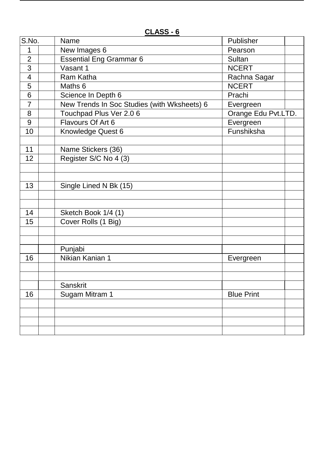| S.No.                    | Name                                        | Publisher           |  |
|--------------------------|---------------------------------------------|---------------------|--|
| 1                        | New Images 6                                | Pearson             |  |
| $\overline{2}$           | <b>Essential Eng Grammar 6</b>              | Sultan              |  |
| 3                        | Vasant 1                                    | <b>NCERT</b>        |  |
| $\overline{\mathcal{A}}$ | <b>Ram Katha</b>                            | Rachna Sagar        |  |
| 5                        | Maths 6                                     | <b>NCERT</b>        |  |
| 6                        | Science In Depth 6                          | Prachi              |  |
| $\overline{7}$           | New Trends In Soc Studies (with Wksheets) 6 | Evergreen           |  |
| 8                        | Touchpad Plus Ver 2.0 6                     | Orange Edu Pvt.LTD. |  |
| 9                        | Flavours Of Art 6                           | Evergreen           |  |
| 10                       | Knowledge Quest 6                           | Funshiksha          |  |
|                          |                                             |                     |  |
| 11                       | Name Stickers (36)                          |                     |  |
| 12                       | Register S/C No 4 (3)                       |                     |  |
|                          |                                             |                     |  |
|                          |                                             |                     |  |
| 13                       | Single Lined N Bk (15)                      |                     |  |
|                          |                                             |                     |  |
|                          |                                             |                     |  |
| 14                       | Sketch Book 1/4 (1)                         |                     |  |
| 15                       | Cover Rolls (1 Big)                         |                     |  |
|                          |                                             |                     |  |
|                          |                                             |                     |  |
|                          | Punjabi                                     |                     |  |
| 16                       | Nikian Kanian 1                             | Evergreen           |  |
|                          |                                             |                     |  |
|                          |                                             |                     |  |
|                          | Sanskrit                                    |                     |  |
| 16                       | Sugam Mitram 1                              | <b>Blue Print</b>   |  |
|                          |                                             |                     |  |
|                          |                                             |                     |  |
|                          |                                             |                     |  |
|                          |                                             |                     |  |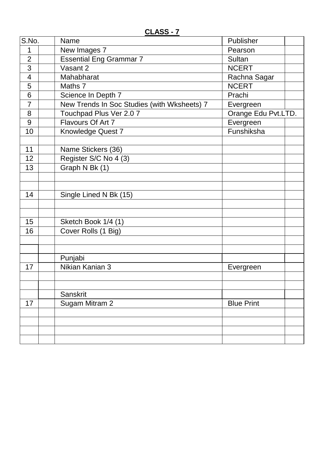| S.No.          | Name                                        | Publisher           |  |
|----------------|---------------------------------------------|---------------------|--|
| 1              | New Images 7                                | Pearson             |  |
| $\overline{2}$ | <b>Essential Eng Grammar 7</b>              | <b>Sultan</b>       |  |
| 3              | Vasant 2                                    | <b>NCERT</b>        |  |
| $\overline{4}$ | Mahabharat                                  | Rachna Sagar        |  |
| 5              | Maths 7                                     | <b>NCERT</b>        |  |
| 6              | Science In Depth 7                          | Prachi              |  |
| $\overline{7}$ | New Trends In Soc Studies (with Wksheets) 7 | Evergreen           |  |
| 8              | Touchpad Plus Ver 2.0 7                     | Orange Edu Pvt.LTD. |  |
| 9              | Flavours Of Art 7                           | Evergreen           |  |
| 10             | Knowledge Quest 7                           | Funshiksha          |  |
|                |                                             |                     |  |
| 11             | Name Stickers (36)                          |                     |  |
| 12             | Register S/C No 4 (3)                       |                     |  |
| 13             | Graph N Bk (1)                              |                     |  |
|                |                                             |                     |  |
|                |                                             |                     |  |
| 14             | Single Lined N Bk (15)                      |                     |  |
|                |                                             |                     |  |
|                |                                             |                     |  |
| 15             | Sketch Book 1/4 (1)                         |                     |  |
| 16             | Cover Rolls (1 Big)                         |                     |  |
|                |                                             |                     |  |
|                |                                             |                     |  |
|                | Punjabi                                     |                     |  |
| 17             | Nikian Kanian 3                             | Evergreen           |  |
|                |                                             |                     |  |
|                |                                             |                     |  |
|                | Sanskrit                                    |                     |  |
| 17             | Sugam Mitram 2                              | <b>Blue Print</b>   |  |
|                |                                             |                     |  |
|                |                                             |                     |  |
|                |                                             |                     |  |
|                |                                             |                     |  |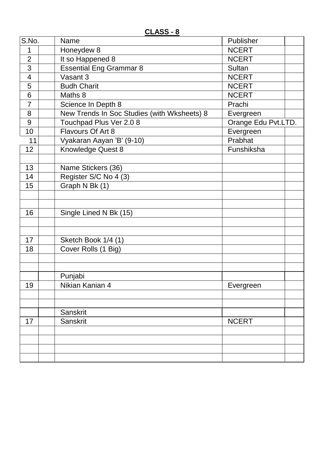| S.No.                    | Name                                        | Publisher           |  |
|--------------------------|---------------------------------------------|---------------------|--|
| 1                        | Honeydew 8                                  | <b>NCERT</b>        |  |
| $\overline{2}$           | It so Happened 8                            | <b>NCERT</b>        |  |
| 3                        | <b>Essential Eng Grammar 8</b>              | Sultan              |  |
| $\overline{\mathcal{A}}$ | Vasant 3                                    | <b>NCERT</b>        |  |
| 5                        | <b>Budh Charit</b>                          | <b>NCERT</b>        |  |
| 6                        | Maths 8                                     | <b>NCERT</b>        |  |
| $\overline{7}$           | Science In Depth 8                          | Prachi              |  |
| 8                        | New Trends In Soc Studies (with Wksheets) 8 | Evergreen           |  |
| 9                        | Touchpad Plus Ver 2.0 8                     | Orange Edu Pvt.LTD. |  |
| 10                       | Flavours Of Art 8                           | Evergreen           |  |
| 11                       | Vyakaran Aayan 'B' (9-10)                   | Prabhat             |  |
| 12                       | Knowledge Quest 8                           | Funshiksha          |  |
|                          |                                             |                     |  |
| 13                       | Name Stickers (36)                          |                     |  |
| 14                       | Register S/C No 4 (3)                       |                     |  |
| 15                       | Graph N Bk (1)                              |                     |  |
|                          |                                             |                     |  |
|                          |                                             |                     |  |
| 16                       | Single Lined N Bk (15)                      |                     |  |
|                          |                                             |                     |  |
|                          |                                             |                     |  |
| 17                       | Sketch Book 1/4 (1)                         |                     |  |
| 18                       | Cover Rolls (1 Big)                         |                     |  |
|                          |                                             |                     |  |
|                          |                                             |                     |  |
|                          | Punjabi                                     |                     |  |
| 19                       | Nikian Kanian 4                             | Evergreen           |  |
|                          |                                             |                     |  |
|                          |                                             |                     |  |
|                          | Sanskrit                                    |                     |  |
| 17                       | Sanskrit                                    | <b>NCERT</b>        |  |
|                          |                                             |                     |  |
|                          |                                             |                     |  |
|                          |                                             |                     |  |
|                          |                                             |                     |  |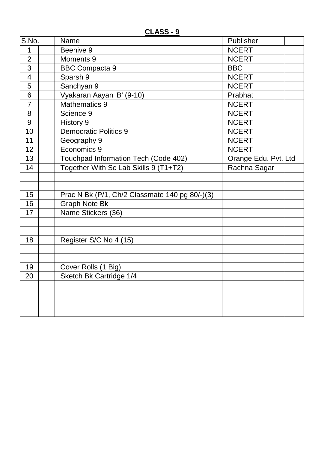**CLASS - 9**

| S.No.          | <b>Name</b>                                    | Publisher            |  |
|----------------|------------------------------------------------|----------------------|--|
| 1              | Beehive 9                                      | <b>NCERT</b>         |  |
| $\overline{2}$ | Moments 9                                      | <b>NCERT</b>         |  |
| 3              | <b>BBC Compacta 9</b>                          | <b>BBC</b>           |  |
| $\overline{4}$ | Sparsh 9                                       | <b>NCERT</b>         |  |
| 5              | Sanchyan 9                                     | <b>NCERT</b>         |  |
| 6              | Vyakaran Aayan 'B' (9-10)                      | Prabhat              |  |
| $\overline{7}$ | <b>Mathematics 9</b>                           | <b>NCERT</b>         |  |
| 8              | Science 9                                      | <b>NCERT</b>         |  |
| 9              | History 9                                      | <b>NCERT</b>         |  |
| 10             | <b>Democratic Politics 9</b>                   | <b>NCERT</b>         |  |
| 11             | Geography 9                                    | <b>NCERT</b>         |  |
| 12             | Economics 9                                    | <b>NCERT</b>         |  |
| 13             | Touchpad Information Tech (Code 402)           | Orange Edu. Pvt. Ltd |  |
| 14             | Together With Sc Lab Skills 9 (T1+T2)          | Rachna Sagar         |  |
|                |                                                |                      |  |
|                |                                                |                      |  |
| 15             | Prac N Bk (P/1, Ch/2 Classmate 140 pg 80/-)(3) |                      |  |
| 16             | <b>Graph Note Bk</b>                           |                      |  |
| 17             | Name Stickers (36)                             |                      |  |
|                |                                                |                      |  |
|                |                                                |                      |  |
| 18             | Register S/C No 4 (15)                         |                      |  |
|                |                                                |                      |  |
|                |                                                |                      |  |
| 19             | Cover Rolls (1 Big)                            |                      |  |
| 20             | Sketch Bk Cartridge 1/4                        |                      |  |
|                |                                                |                      |  |
|                |                                                |                      |  |
|                |                                                |                      |  |
|                |                                                |                      |  |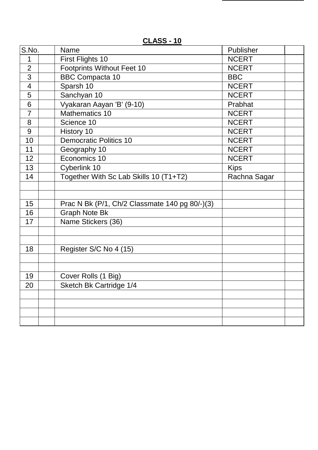| S.No.                    |  | Name                                           | Publisher    |  |
|--------------------------|--|------------------------------------------------|--------------|--|
| 1                        |  | <b>First Flights 10</b>                        | <b>NCERT</b> |  |
| $\overline{2}$           |  | <b>Footprints Without Feet 10</b>              | <b>NCERT</b> |  |
| $\overline{3}$           |  | <b>BBC Compacta 10</b>                         | <b>BBC</b>   |  |
| $\overline{\mathcal{A}}$ |  | Sparsh 10                                      | <b>NCERT</b> |  |
| 5                        |  | Sanchyan 10                                    | <b>NCERT</b> |  |
| 6                        |  | Vyakaran Aayan 'B' (9-10)                      | Prabhat      |  |
| $\overline{7}$           |  | Mathematics 10                                 | <b>NCERT</b> |  |
| 8                        |  | Science 10                                     | <b>NCERT</b> |  |
| 9                        |  | History 10                                     | <b>NCERT</b> |  |
| 10                       |  | <b>Democratic Politics 10</b>                  | <b>NCERT</b> |  |
| 11                       |  | Geography 10                                   | <b>NCERT</b> |  |
| 12                       |  | Economics 10                                   | <b>NCERT</b> |  |
| 13                       |  | Cyberlink 10                                   | <b>Kips</b>  |  |
| 14                       |  | Together With Sc Lab Skills 10 (T1+T2)         | Rachna Sagar |  |
|                          |  |                                                |              |  |
|                          |  |                                                |              |  |
| 15                       |  | Prac N Bk (P/1, Ch/2 Classmate 140 pg 80/-)(3) |              |  |
| 16                       |  | <b>Graph Note Bk</b>                           |              |  |
| 17                       |  | Name Stickers (36)                             |              |  |
|                          |  |                                                |              |  |
|                          |  |                                                |              |  |
| 18                       |  | Register S/C No 4 (15)                         |              |  |
|                          |  |                                                |              |  |
|                          |  |                                                |              |  |
| 19                       |  | Cover Rolls (1 Big)                            |              |  |
| 20                       |  | Sketch Bk Cartridge 1/4                        |              |  |
|                          |  |                                                |              |  |
|                          |  |                                                |              |  |
|                          |  |                                                |              |  |
|                          |  |                                                |              |  |

**CLASS - 10**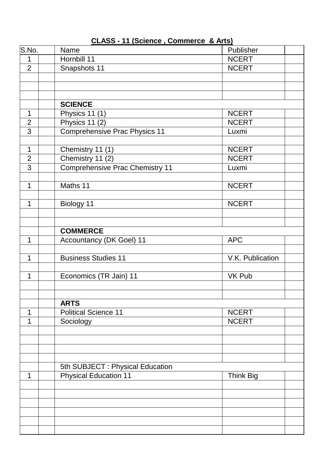| S.No.          | Name                                   | Publisher        |  |
|----------------|----------------------------------------|------------------|--|
| 1              | Hornbill 11                            | <b>NCERT</b>     |  |
| $\overline{2}$ | Snapshots 11                           | <b>NCERT</b>     |  |
|                |                                        |                  |  |
|                |                                        |                  |  |
|                |                                        |                  |  |
|                | <b>SCIENCE</b>                         |                  |  |
| $\mathbf 1$    | Physics 11 (1)                         | <b>NCERT</b>     |  |
| $\overline{2}$ | Physics 11 (2)                         | <b>NCERT</b>     |  |
| 3              | <b>Comprehensive Prac Physics 11</b>   | Luxmi            |  |
|                |                                        |                  |  |
| $\mathbf{1}$   | Chemistry 11 (1)                       | <b>NCERT</b>     |  |
| $\overline{2}$ | Chemistry 11 (2)                       | <b>NCERT</b>     |  |
| 3              | <b>Comprehensive Prac Chemistry 11</b> | Luxmi            |  |
|                |                                        |                  |  |
| $\mathbf 1$    | Maths 11                               | <b>NCERT</b>     |  |
|                |                                        |                  |  |
| 1              | Biology 11                             | <b>NCERT</b>     |  |
|                |                                        |                  |  |
|                |                                        |                  |  |
|                | <b>COMMERCE</b>                        |                  |  |
| 1              | <b>Accountancy (DK Goel) 11</b>        | <b>APC</b>       |  |
|                |                                        |                  |  |
| 1              | <b>Business Studies 11</b>             | V.K. Publication |  |
|                |                                        |                  |  |
| 1              | Economics (TR Jain) 11                 | <b>VK Pub</b>    |  |
|                |                                        |                  |  |
|                |                                        |                  |  |
|                | <b>ARTS</b>                            |                  |  |
| 1              | <b>Political Science 11</b>            | <b>NCERT</b>     |  |
| 1              | Sociology                              | <b>NCERT</b>     |  |
|                |                                        |                  |  |
|                |                                        |                  |  |
|                |                                        |                  |  |
|                |                                        |                  |  |
|                | 5th SUBJECT : Physical Education       |                  |  |
| 1              | <b>Physical Education 11</b>           | <b>Think Big</b> |  |
|                |                                        |                  |  |
|                |                                        |                  |  |
|                |                                        |                  |  |
|                |                                        |                  |  |
|                |                                        |                  |  |
|                |                                        |                  |  |
|                |                                        |                  |  |

# **CLASS - 11 (Science , Commerce & Arts)**